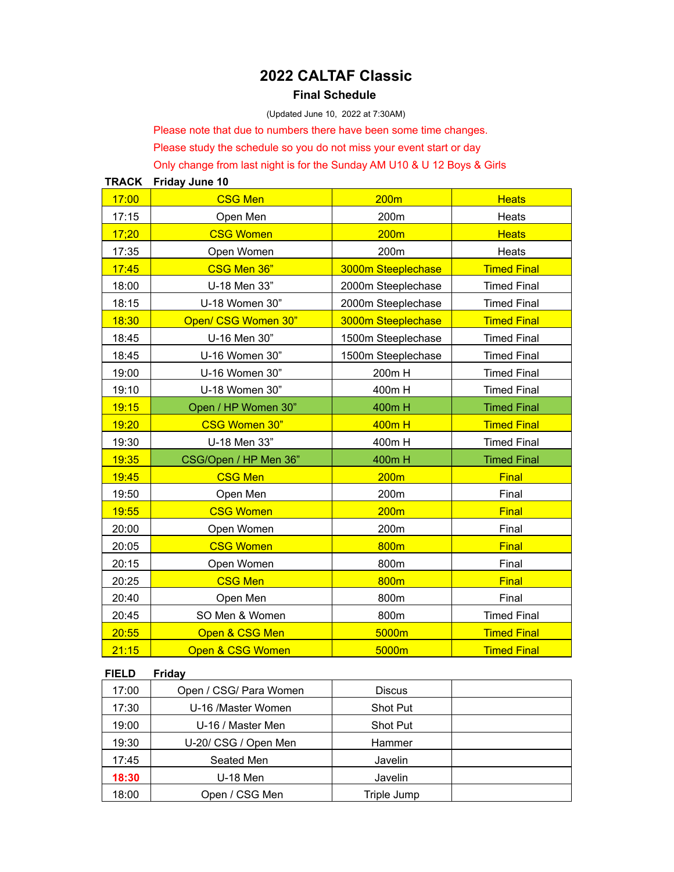# **2022 CALTAF Classic**

## **Final Schedule**

(Updated June 10, 2022 at 7:30AM)

Please note that due to numbers there have been some time changes.

Please study the schedule so you do not miss your event start or day

Only change from last night is for the Sunday AM U10 & U 12 Boys & Girls

**TRACK Friday June 10** 17:00 CSG Men 200m Heats 17:15 Open Men 200m Reats 17;20 CSG Women 200m Heats 17:35 Open Women 200m Heats 17:45 CSG Men 36" 3000m Steeplechase Timed Final 18:00 **U-18 Men 33"** 2000m Steeplechase Timed Final 18:15 | U-18 Women 30" | 2000m Steeplechase | Timed Final 18:30 **Open/ CSG Women 30"** 3000m Steeplechase Timed Final 18:45 | U-16 Men 30" | 1500m Steeplechase | Timed Final 18:45 | U-16 Women 30" | 1500m Steeplechase | Timed Final 19:00 U-16 Women 30" 200m H Timed Final 19:10 U-18 Women 30" 400m H Timed Final 19:15 Open / HP Women 30" | 400m H Timed Final 19:20 CSG Women 30" 400m H Timed Final 19:30 U-18 Men 33" 400m H Timed Final 19:35 CSG/Open / HP Men 36" 400m H Timed Final 19:45 CSG Men 200m Final 19:50 Open Men 19:50 Copen Men 200m Contact Linux 19:55 CSG Women 200m Final 20:00 | Open Women | 200m | Final 20:05 CSG Women 1 800m Final 20:15 | Open Women | 800m | Final 20:25 CSG Men 800m Final 20:40 | Open Men | 800m | Final 20:45 SO Men & Women 800m Solution 20:45 20:55 Cpen & CSG Men 5000m Timed Final 21:15 Open & CSG Women **Conserver Conserver Conserver Conserver** Timed Final

#### **FIELD Friday**

| 17:00 | Open / CSG/ Para Women | <b>Discus</b>   |  |
|-------|------------------------|-----------------|--|
| 17:30 | U-16 /Master Women     | <b>Shot Put</b> |  |
| 19:00 | U-16 / Master Men      | <b>Shot Put</b> |  |
| 19:30 | U-20/ CSG / Open Men   | Hammer          |  |
| 17:45 | Seated Men             | Javelin         |  |
| 18:30 | U-18 Men               | Javelin         |  |
| 18:00 | Open / CSG Men         | Triple Jump     |  |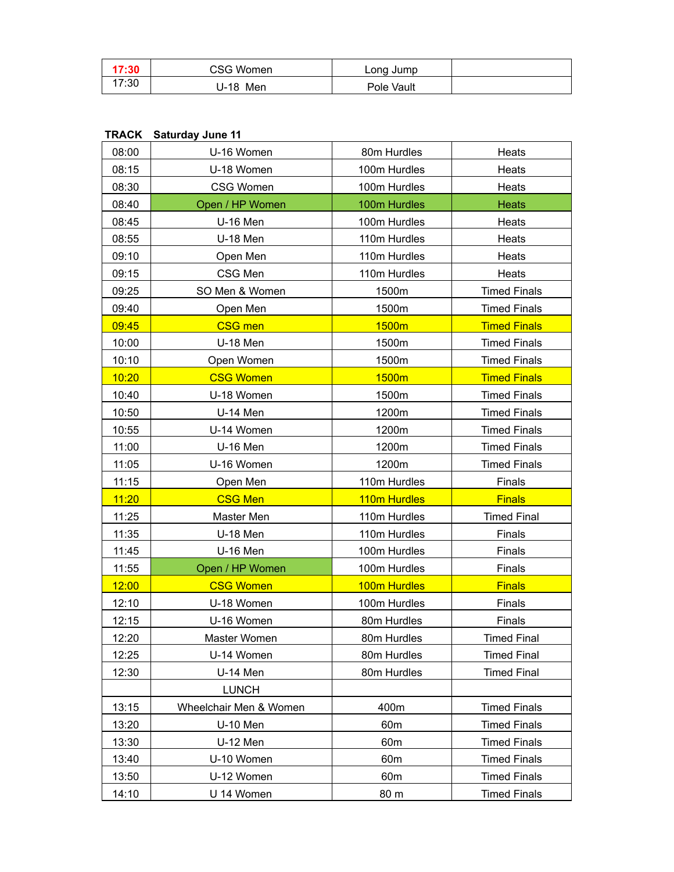| 17:30 | CSG Women          | Long Jump  |  |
|-------|--------------------|------------|--|
| 17:30 | Men<br>-18<br>. J- | Pole Vault |  |

# **TRACK Saturday June 11**

| 08:00 | U-16 Women             | 80m Hurdles     | Heats               |
|-------|------------------------|-----------------|---------------------|
| 08:15 | U-18 Women             | 100m Hurdles    | Heats               |
| 08:30 | <b>CSG Women</b>       | 100m Hurdles    | Heats               |
| 08:40 | Open / HP Women        | 100m Hurdles    | Heats               |
| 08:45 | <b>U-16 Men</b>        | 100m Hurdles    | Heats               |
| 08:55 | <b>U-18 Men</b>        | 110m Hurdles    | Heats               |
| 09:10 | Open Men               | 110m Hurdles    | Heats               |
| 09:15 | CSG Men                | 110m Hurdles    | Heats               |
| 09:25 | SO Men & Women         | 1500m           | <b>Timed Finals</b> |
| 09:40 | Open Men               | 1500m           | <b>Timed Finals</b> |
| 09:45 | <b>CSG</b> men         | 1500m           | <b>Timed Finals</b> |
| 10:00 | <b>U-18 Men</b>        | 1500m           | <b>Timed Finals</b> |
| 10:10 | Open Women             | 1500m           | <b>Timed Finals</b> |
| 10:20 | <b>CSG Women</b>       | 1500m           | <b>Timed Finals</b> |
| 10:40 | U-18 Women             | 1500m           | <b>Timed Finals</b> |
| 10:50 | <b>U-14 Men</b>        | 1200m           | <b>Timed Finals</b> |
| 10:55 | U-14 Women             | 1200m           | <b>Timed Finals</b> |
| 11:00 | U-16 Men               | 1200m           | <b>Timed Finals</b> |
| 11:05 | U-16 Women             | 1200m           | <b>Timed Finals</b> |
| 11:15 | Open Men               | 110m Hurdles    | Finals              |
| 11:20 | <b>CSG Men</b>         | 110m Hurdles    | <b>Finals</b>       |
| 11:25 | Master Men             | 110m Hurdles    | <b>Timed Final</b>  |
| 11:35 | <b>U-18 Men</b>        | 110m Hurdles    | Finals              |
| 11:45 | <b>U-16 Men</b>        | 100m Hurdles    | Finals              |
| 11:55 | Open / HP Women        | 100m Hurdles    | Finals              |
| 12:00 | <b>CSG Women</b>       | 100m Hurdles    | <b>Finals</b>       |
| 12:10 | U-18 Women             | 100m Hurdles    |                     |
| 12:15 |                        |                 | Finals              |
|       | U-16 Women             | 80m Hurdles     | Finals              |
| 12:20 | Master Women           | 80m Hurdles     | <b>Timed Final</b>  |
| 12:25 | U-14 Women             | 80m Hurdles     | <b>Timed Final</b>  |
| 12:30 | U-14 Men               | 80m Hurdles     | <b>Timed Final</b>  |
|       | <b>LUNCH</b>           |                 |                     |
| 13:15 | Wheelchair Men & Women | 400m            | <b>Timed Finals</b> |
| 13:20 | U-10 Men               | 60 <sub>m</sub> | <b>Timed Finals</b> |
| 13:30 | <b>U-12 Men</b>        | 60 <sub>m</sub> | <b>Timed Finals</b> |
| 13:40 | U-10 Women             | 60 <sub>m</sub> | <b>Timed Finals</b> |
| 13:50 | U-12 Women             | 60 <sub>m</sub> | <b>Timed Finals</b> |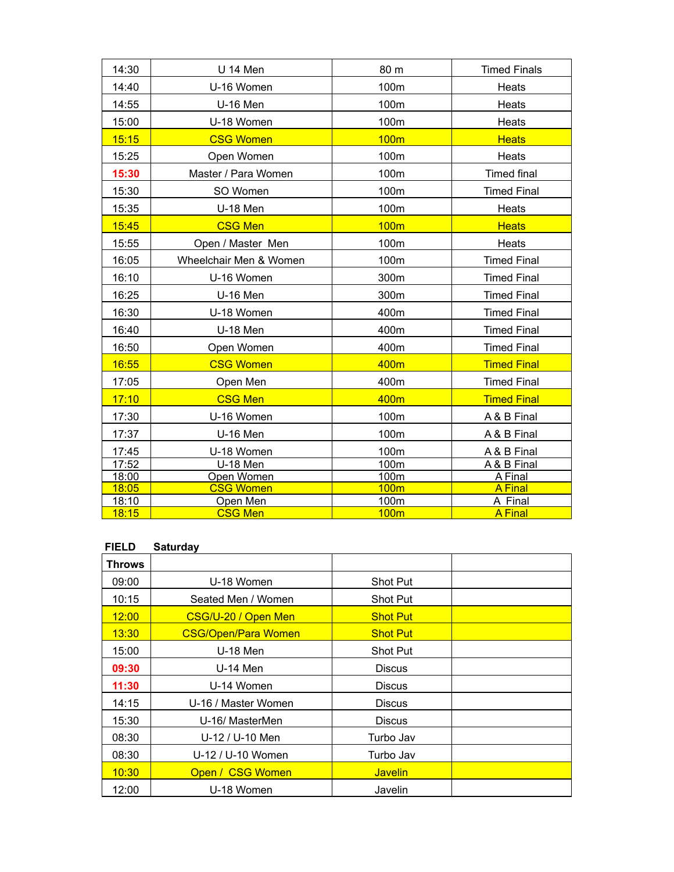| 14:30 | U 14 Men               | 80 m             | <b>Timed Finals</b> |
|-------|------------------------|------------------|---------------------|
| 14:40 | U-16 Women             | 100m             | Heats               |
| 14:55 | <b>U-16 Men</b>        | 100m             | Heats               |
| 15:00 | U-18 Women             | 100m             | Heats               |
| 15:15 | <b>CSG Women</b>       | <b>100m</b>      | <b>Heats</b>        |
| 15:25 | Open Women             | 100m             | Heats               |
| 15:30 | Master / Para Women    | 100m             | <b>Timed final</b>  |
| 15:30 | SO Women               | 100m             | <b>Timed Final</b>  |
| 15:35 | U-18 Men               | 100m             | Heats               |
| 15:45 | <b>CSG Men</b>         | <b>100m</b>      | <b>Heats</b>        |
| 15:55 | Open / Master Men      | 100m             | Heats               |
| 16:05 | Wheelchair Men & Women | 100m             | <b>Timed Final</b>  |
| 16:10 | U-16 Women             | 300m             | <b>Timed Final</b>  |
| 16:25 | <b>U-16 Men</b>        | 300m             | <b>Timed Final</b>  |
| 16:30 | U-18 Women             | 400m             | <b>Timed Final</b>  |
| 16:40 | <b>U-18 Men</b>        | 400m             | <b>Timed Final</b>  |
| 16:50 | Open Women             | 400m             | <b>Timed Final</b>  |
| 16:55 | <b>CSG Women</b>       | 400m             | <b>Timed Final</b>  |
| 17:05 | Open Men               | 400m             | <b>Timed Final</b>  |
| 17:10 | <b>CSG Men</b>         | 400m             | <b>Timed Final</b>  |
| 17:30 | U-16 Women             | 100m             | A & B Final         |
| 17:37 | <b>U-16 Men</b>        | 100m             | A & B Final         |
| 17:45 | U-18 Women             | 100m             | A & B Final         |
| 17:52 | U-18 Men               | 100m             | A & B Final         |
| 18:00 | Open Women             | 100m             | A Final             |
| 18:05 | <b>CSG Women</b>       | 100 <sub>m</sub> | <b>A</b> Final      |
| 18:10 | Open Men               | 100m             | A Final             |
| 18:15 | <b>CSG Men</b>         | 100 <sub>m</sub> | <b>A</b> Final      |

# **FIELD Saturday**

| <b>Throws</b> |                            |                 |  |
|---------------|----------------------------|-----------------|--|
| 09:00         | U-18 Women                 | Shot Put        |  |
| 10:15         | Seated Men / Women         | <b>Shot Put</b> |  |
| 12:00         | CSG/U-20 / Open Men        | <b>Shot Put</b> |  |
| 13:30         | <b>CSG/Open/Para Women</b> | <b>Shot Put</b> |  |
| 15:00         | $U-18$ Men                 | <b>Shot Put</b> |  |
| 09:30         | U-14 Men                   | <b>Discus</b>   |  |
| 11:30         | U-14 Women                 | <b>Discus</b>   |  |
| 14:15         | U-16 / Master Women        | <b>Discus</b>   |  |
| 15:30         | U-16/ MasterMen            | <b>Discus</b>   |  |
| 08:30         | U-12 / U-10 Men            | Turbo Jav       |  |
| 08:30         | U-12 / U-10 Women          | Turbo Jav       |  |
| 10:30         | Open / CSG Women           | <b>Javelin</b>  |  |
| 12:00         | U-18 Women                 | Javelin         |  |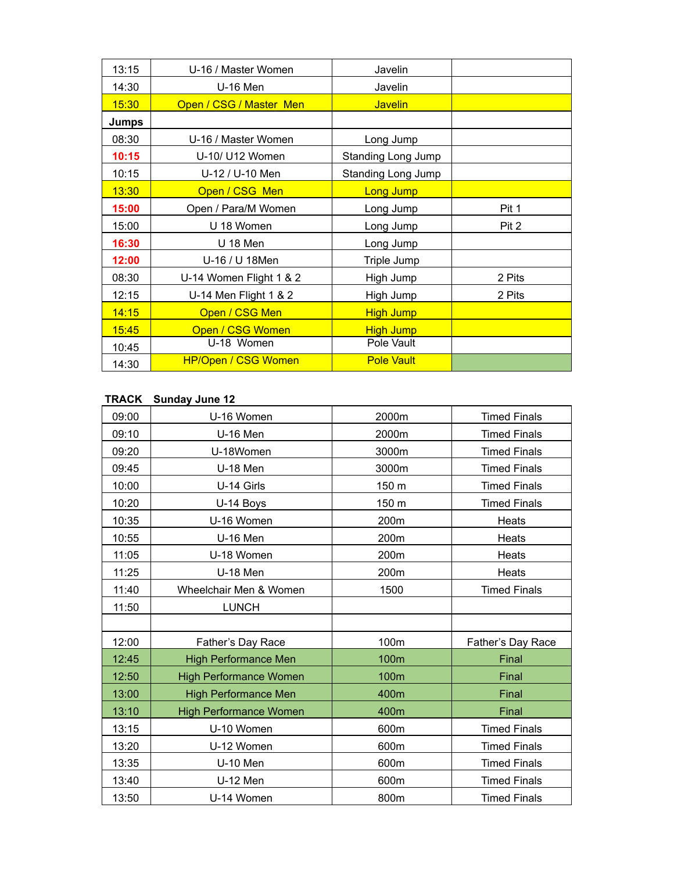| 13:15        | U-16 / Master Women        | Javelin            |        |
|--------------|----------------------------|--------------------|--------|
| 14:30        | U-16 Men                   | Javelin            |        |
| 15:30        | Open / CSG / Master Men    | <b>Javelin</b>     |        |
| <b>Jumps</b> |                            |                    |        |
| 08:30        | U-16 / Master Women        | Long Jump          |        |
| 10:15        | U-10/ U12 Women            | Standing Long Jump |        |
| 10:15        | U-12 / U-10 Men            | Standing Long Jump |        |
| 13:30        | Open / CSG Men             | <b>Long Jump</b>   |        |
| 15:00        | Open / Para/M Women        | Long Jump          | Pit 1  |
| 15:00        | U 18 Women                 | Long Jump          | Pit 2  |
| 16:30        | U 18 Men                   | Long Jump          |        |
| 12:00        | U-16 / U 18Men             | Triple Jump        |        |
| 08:30        | U-14 Women Flight 1 & 2    | High Jump          | 2 Pits |
| 12:15        | U-14 Men Flight 1 & 2      | High Jump          | 2 Pits |
| 14:15        | Open / CSG Men             | <b>High Jump</b>   |        |
| 15:45        | Open / CSG Women           | <b>High Jump</b>   |        |
| 10:45        | U-18 Women                 | Pole Vault         |        |
| 14:30        | <b>HP/Open / CSG Women</b> | <b>Pole Vault</b>  |        |

### **TRACK Sunday June 12**

| 09:00 | U-16 Women                    | 2000m | <b>Timed Finals</b> |
|-------|-------------------------------|-------|---------------------|
| 09:10 | <b>U-16 Men</b>               | 2000m | <b>Timed Finals</b> |
| 09:20 | U-18Women                     | 3000m | <b>Timed Finals</b> |
| 09:45 | U-18 Men                      | 3000m | <b>Timed Finals</b> |
| 10:00 | U-14 Girls                    | 150 m | <b>Timed Finals</b> |
| 10:20 | U-14 Boys                     | 150 m | <b>Timed Finals</b> |
| 10:35 | U-16 Women                    | 200m  | Heats               |
| 10:55 | <b>U-16 Men</b>               | 200m  | Heats               |
| 11:05 | U-18 Women                    | 200m  | Heats               |
| 11:25 | <b>U-18 Men</b>               | 200m  | Heats               |
| 11:40 | Wheelchair Men & Women        | 1500  | <b>Timed Finals</b> |
| 11:50 | <b>LUNCH</b>                  |       |                     |
|       |                               |       |                     |
| 12:00 | Father's Day Race             | 100m  | Father's Day Race   |
| 12:45 | <b>High Performance Men</b>   | 100m  | Final               |
| 12:50 | <b>High Performance Women</b> | 100m  | Final               |
| 13:00 | <b>High Performance Men</b>   | 400m  | Final               |
| 13:10 | <b>High Performance Women</b> | 400m  | Final               |
| 13:15 | U-10 Women                    | 600m  | <b>Timed Finals</b> |
| 13:20 | U-12 Women                    | 600m  | <b>Timed Finals</b> |
| 13:35 | <b>U-10 Men</b>               | 600m  | <b>Timed Finals</b> |
| 13:40 | <b>U-12 Men</b>               | 600m  | <b>Timed Finals</b> |
| 13:50 | U-14 Women                    | 800m  | <b>Timed Finals</b> |